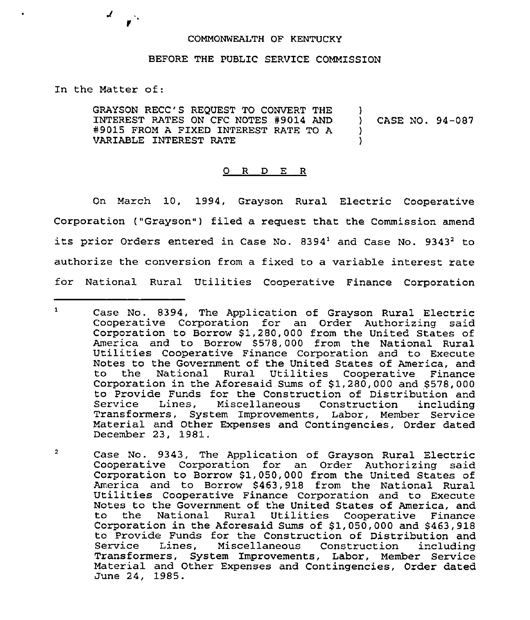## COMMONWEALTH OF KENTUCKY

## BEFORE THE PUBLIC SERVICE COMMISSION

In the Matter of:

 $\mathcal{L}$ 

 $\mathcal{L}_{\mathbf{A}}$ 

GRAYSON RECC'S REQUEST TO CONVERT THE INTEREST RATES ON CFC NOTES 49014 AND 49015 FROM <sup>A</sup> FIXED INTEREST RATE TO <sup>A</sup> VARIABLE INTEREST RATE ) ) CASE NO. 94-087  $\lambda$ )

## 0 R D E R

On March 10, 1994, Grayson Rural Electric Cooperative Corporation ("Grayson") filed a request that the Commission amend its prior Orders entered in Case No.  $8394<sup>1</sup>$  and Case No.  $9343<sup>2</sup>$  to authorize the conversion from a fixed to a variable interest rate for National Rural Utilities Cooperative Finance Corporation

 $\mathbf{1}$ Case No. 8394, The Application of Grayson Rural Electric Cooperative Corporation for an Order Authorizing said Corporation to Borrow \$1,280,000 from the United States of America and to Borrow \$578,000 from the National Rural Utilities Cooperative Finance Corporation and to Execute Notes to the Government of the United States of America, and the National Rural Utilities Cooperative Finance Corporation in the Aforesaid Sums of \$1,280,000 and \$578,000 to Provide Funds for the Construction of Distribution and Service Lines, Miscellaneous Construction including Transformers, System Improvements, Labor, Member Service Material and Other Expenses and Contingencies, Order dated December 23, 1981.

 $\overline{2}$ Case No. 9343, The Application of Grayson Rural Electric Cooperative Corporation for an Order Authorizing said Corporation to Borrow \$1,050,000 from the United States of America and to Borrow \$463,918 from the National Rural<br>Utilities Cooperative Finance Corporation and to Execute Notes to the Government of the United States of America, and to the National Rural Utilities Cooperative Finance Corporation in the Aforesaid Sums of  $$1,050,000$  and  $$463,918$ to Provide Funds for the Construction of Distribution and Lines, Miscellaneous Construction Transformers, System Improvements, Labor, Member Service Material and Other Expenses and Contingencies, Order dated June 24, 1985.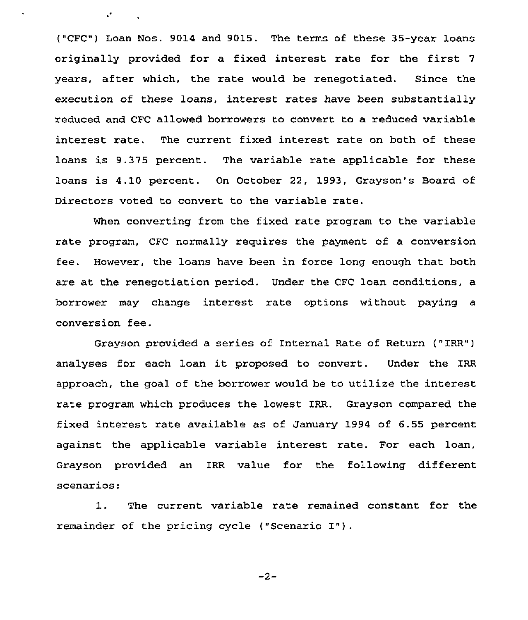("CFC") Loan Nos. 9014 and 9015. The terms of these 35-year loans originally provided for a fixed interest rate for the first <sup>7</sup> years, after which, the rate would be renegotiated. Since the execution of these loans, interest rates have been substantially reduced and CFC allowed borrowers to convert to a reduced variable interest rate. The current fixed interest rate on both of these loans is 9.375 percent. The variable rate applicable for these loans is 4.10 percent. On October 22, 1993, Grayson's Board of Directors voted to convert to the variable rate.

 $\mathbf{A}^{\bullet}$  and  $\mathbf{A}^{\bullet}$ 

When converting from the fixed rate program to the variable rate program, CFC normally requires the payment of a conversion fee. However, the loans have been in force long enough that both are at the renegotiation period. Under the CFC loan conditions, a borrower may change interest rate options without paying a conversion fee.

Grayson provided a series of Internal Rate of Return ("IRR") analyses for each loan it proposed to convert. Under the IRR approach, the goal of the borrower would be to utilize the interest rate program which produces the lowest IRR. Grayson compared the fixed interest rate available as of January 1994 of 6.55 percent against the applicable variable interest rate. For each loan, Grayson provided an IRR value for the following different scenarios:

1. The current variable rate remained constant for the remainder of the pricing cycle ("Scenario I")

 $-2-$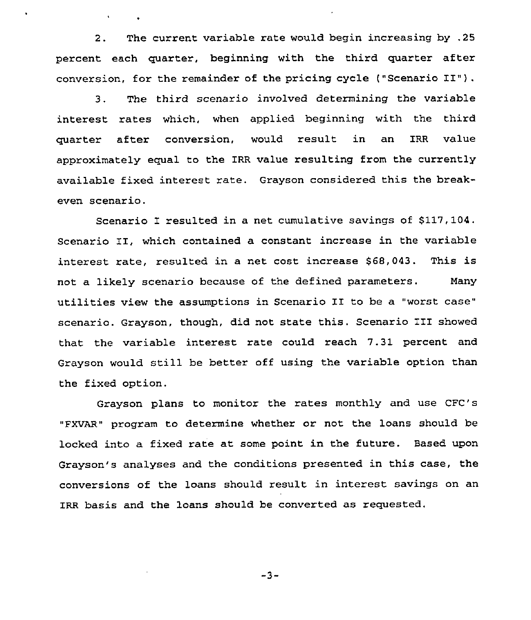2. The current variable rate would begin increasing by .25 percent each quarter, beginning with the third quarter after conversion, for the remainder of the pricing cycle ("Scenario II").

3. The third scenario involved determining the variable interest rates which, when applied beginning with the third quarter after conversion, would result in an IRR value approximately equal to the IRR value resulting from the currently available fixed interest rate. Grayson considered this the breakeven scenario.

Scenario I resulted in a net cumulative savings of 6117,104. Scenario II, which contained a constant increase in the variable interest rate, resulted in a net cost increase \$68,043. This is not a likely scenario because of the defined parameters. Many utilities view the assumptions in Scenario II to be <sup>a</sup> "worst case" scenario. Grayson, though, did not state this. Scenario III showed that the variable interest rate could reach 7.31 percent and Grayson would still be better off using the variable option than the fixed option.

Grayson plans to monitor the rates monthly and use CFC's "FXVAR" program to determine whether or not the loans should be locked into a fixed rate at some point in the future. Based upon Grayson's analyses and the conditions presented in this case, the conversions of the loans should result in interest savings on an IRR basis and the loans should be converted as requested.

 $-3-$